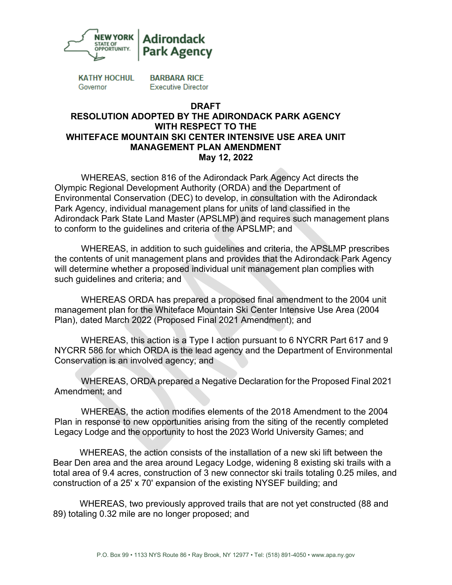

**KATHY HOCHUL** Governor

**BARBARA RICE Executive Director** 

## **DRAFT RESOLUTION ADOPTED BY THE ADIRONDACK PARK AGENCY WITH RESPECT TO THE WHITEFACE MOUNTAIN SKI CENTER INTENSIVE USE AREA UNIT MANAGEMENT PLAN AMENDMENT May 12, 2022**

WHEREAS, section 816 of the Adirondack Park Agency Act directs the Olympic Regional Development Authority (ORDA) and the Department of Environmental Conservation (DEC) to develop, in consultation with the Adirondack Park Agency, individual management plans for units of land classified in the Adirondack Park State Land Master (APSLMP) and requires such management plans to conform to the guidelines and criteria of the APSLMP; and

WHEREAS, in addition to such guidelines and criteria, the APSLMP prescribes the contents of unit management plans and provides that the Adirondack Park Agency will determine whether a proposed individual unit management plan complies with such guidelines and criteria; and

WHEREAS ORDA has prepared a proposed final amendment to the 2004 unit management plan for the Whiteface Mountain Ski Center Intensive Use Area (2004 Plan), dated March 2022 (Proposed Final 2021 Amendment); and

WHEREAS, this action is a Type I action pursuant to 6 NYCRR Part 617 and 9 NYCRR 586 for which ORDA is the lead agency and the Department of Environmental Conservation is an involved agency; and

WHEREAS, ORDA prepared a Negative Declaration for the Proposed Final 2021 Amendment; and

WHEREAS, the action modifies elements of the 2018 Amendment to the 2004 Plan in response to new opportunities arising from the siting of the recently completed Legacy Lodge and the opportunity to host the 2023 World University Games; and

WHEREAS, the action consists of the installation of a new ski lift between the Bear Den area and the area around Legacy Lodge, widening 8 existing ski trails with a total area of 9.4 acres, construction of 3 new connector ski trails totaling 0.25 miles, and construction of a 25' x 70' expansion of the existing NYSEF building; and

WHEREAS, two previously approved trails that are not yet constructed (88 and 89) totaling 0.32 mile are no longer proposed; and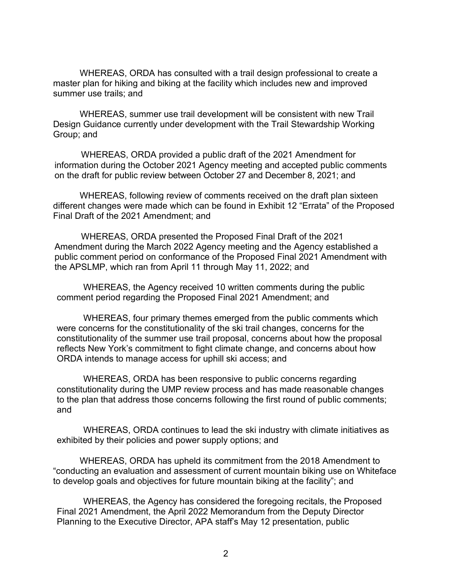WHEREAS, ORDA has consulted with a trail design professional to create a master plan for hiking and biking at the facility which includes new and improved summer use trails; and

WHEREAS, summer use trail development will be consistent with new Trail Design Guidance currently under development with the Trail Stewardship Working Group; and

WHEREAS, ORDA provided a public draft of the 2021 Amendment for information during the October 2021 Agency meeting and accepted public comments on the draft for public review between October 27 and December 8, 2021; and

WHEREAS, following review of comments received on the draft plan sixteen different changes were made which can be found in Exhibit 12 "Errata" of the Proposed Final Draft of the 2021 Amendment; and

WHEREAS, ORDA presented the Proposed Final Draft of the 2021 Amendment during the March 2022 Agency meeting and the Agency established a public comment period on conformance of the Proposed Final 2021 Amendment with the APSLMP, which ran from April 11 through May 11, 2022; and

WHEREAS, the Agency received 10 written comments during the public comment period regarding the Proposed Final 2021 Amendment; and

WHEREAS, four primary themes emerged from the public comments which were concerns for the constitutionality of the ski trail changes, concerns for the constitutionality of the summer use trail proposal, concerns about how the proposal reflects New York's commitment to fight climate change, and concerns about how ORDA intends to manage access for uphill ski access; and

WHEREAS, ORDA has been responsive to public concerns regarding constitutionality during the UMP review process and has made reasonable changes to the plan that address those concerns following the first round of public comments; and

WHEREAS, ORDA continues to lead the ski industry with climate initiatives as exhibited by their policies and power supply options; and

WHEREAS, ORDA has upheld its commitment from the 2018 Amendment to "conducting an evaluation and assessment of current mountain biking use on Whiteface to develop goals and objectives for future mountain biking at the facility"; and

WHEREAS, the Agency has considered the foregoing recitals, the Proposed Final 2021 Amendment, the April 2022 Memorandum from the Deputy Director Planning to the Executive Director, APA staff's May 12 presentation, public